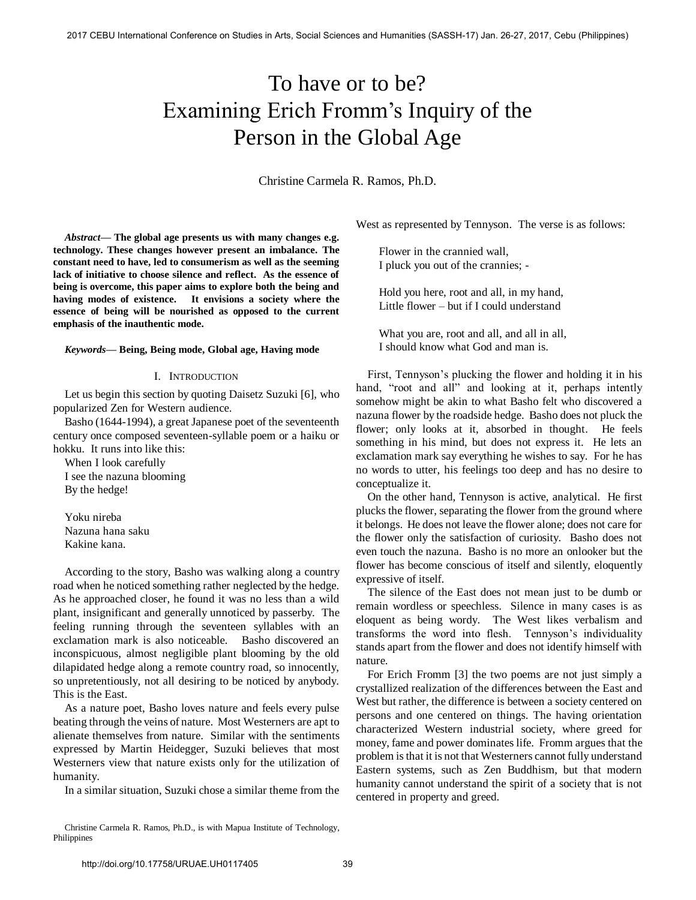# To have or to be? Examining Erich Fromm's Inquiry of the Person in the Global Age

Christine Carmela R. Ramos, Ph.D.

*Abstract***— The global age presents us with many changes e.g. technology. These changes however present an imbalance. The constant need to have, led to consumerism as well as the seeming lack of initiative to choose silence and reflect. As the essence of being is overcome, this paper aims to explore both the being and having modes of existence. It envisions a society where the essence of being will be nourished as opposed to the current emphasis of the inauthentic mode.** 

#### *Keywords***— Being, Being mode, Global age, Having mode**

#### I. INTRODUCTION

Let us begin this section by quoting Daisetz Suzuki [6], who popularized Zen for Western audience.

Basho (1644-1994), a great Japanese poet of the seventeenth century once composed seventeen-syllable poem or a haiku or hokku. It runs into like this:

When I look carefully I see the nazuna blooming By the hedge!

Yoku nireba Nazuna hana saku Kakine kana.

According to the story, Basho was walking along a country road when he noticed something rather neglected by the hedge. As he approached closer, he found it was no less than a wild plant, insignificant and generally unnoticed by passerby. The feeling running through the seventeen syllables with an exclamation mark is also noticeable. Basho discovered an inconspicuous, almost negligible plant blooming by the old dilapidated hedge along a remote country road, so innocently, so unpretentiously, not all desiring to be noticed by anybody. This is the East.

As a nature poet, Basho loves nature and feels every pulse beating through the veins of nature. Most Westerners are apt to alienate themselves from nature. Similar with the sentiments expressed by Martin Heidegger, Suzuki believes that most Westerners view that nature exists only for the utilization of humanity.

In a similar situation, Suzuki chose a similar theme from the

Christine Carmela R. Ramos, Ph.D., is with Mapua Institute of Technology, Philippines

West as represented by Tennyson. The verse is as follows:

Flower in the crannied wall, I pluck you out of the crannies; -

Hold you here, root and all, in my hand, Little flower – but if I could understand

What you are, root and all, and all in all, I should know what God and man is.

First, Tennyson's plucking the flower and holding it in his hand, "root and all" and looking at it, perhaps intently somehow might be akin to what Basho felt who discovered a nazuna flower by the roadside hedge. Basho does not pluck the flower; only looks at it, absorbed in thought. He feels something in his mind, but does not express it. He lets an exclamation mark say everything he wishes to say. For he has no words to utter, his feelings too deep and has no desire to conceptualize it.

On the other hand, Tennyson is active, analytical. He first plucks the flower, separating the flower from the ground where it belongs. He does not leave the flower alone; does not care for the flower only the satisfaction of curiosity. Basho does not even touch the nazuna. Basho is no more an onlooker but the flower has become conscious of itself and silently, eloquently expressive of itself.

The silence of the East does not mean just to be dumb or remain wordless or speechless. Silence in many cases is as eloquent as being wordy. The West likes verbalism and transforms the word into flesh. Tennyson's individuality stands apart from the flower and does not identify himself with nature.

For Erich Fromm [3] the two poems are not just simply a crystallized realization of the differences between the East and West but rather, the difference is between a society centered on persons and one centered on things. The having orientation characterized Western industrial society, where greed for money, fame and power dominates life. Fromm argues that the problem is that it is not that Westerners cannot fully understand Eastern systems, such as Zen Buddhism, but that modern humanity cannot understand the spirit of a society that is not centered in property and greed.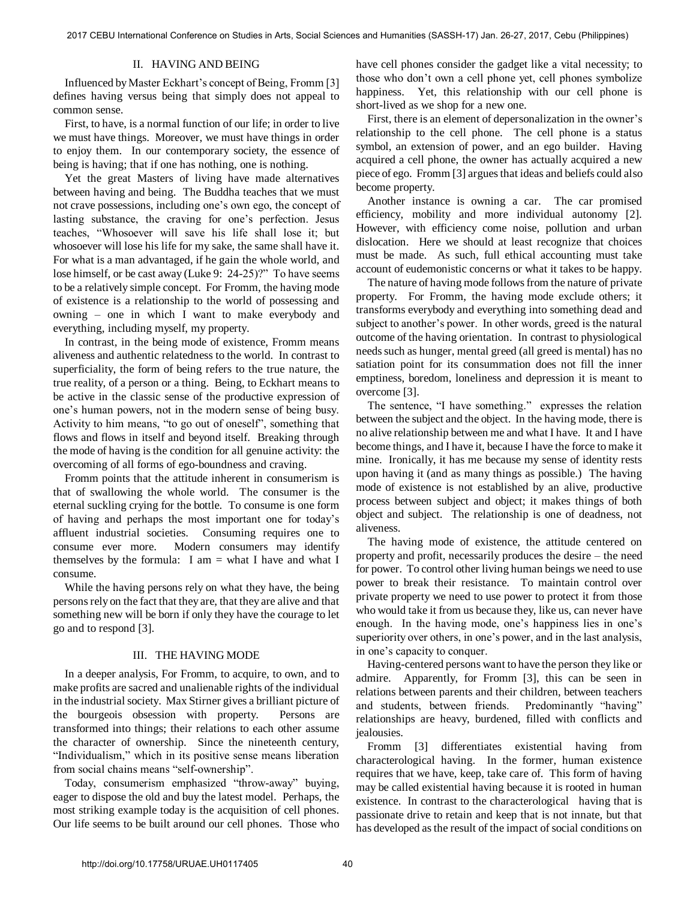# II. HAVING AND BEING

Influenced by Master Eckhart's concept of Being, Fromm [3] defines having versus being that simply does not appeal to common sense.

First, to have, is a normal function of our life; in order to live we must have things. Moreover, we must have things in order to enjoy them. In our contemporary society, the essence of being is having; that if one has nothing, one is nothing.

Yet the great Masters of living have made alternatives between having and being. The Buddha teaches that we must not crave possessions, including one's own ego, the concept of lasting substance, the craving for one's perfection. Jesus teaches, "Whosoever will save his life shall lose it; but whosoever will lose his life for my sake, the same shall have it. For what is a man advantaged, if he gain the whole world, and lose himself, or be cast away (Luke 9: 24-25)?" To have seems to be a relatively simple concept. For Fromm, the having mode of existence is a relationship to the world of possessing and owning – one in which I want to make everybody and everything, including myself, my property.

In contrast, in the being mode of existence, Fromm means aliveness and authentic relatedness to the world. In contrast to superficiality, the form of being refers to the true nature, the true reality, of a person or a thing. Being, to Eckhart means to be active in the classic sense of the productive expression of one's human powers, not in the modern sense of being busy. Activity to him means, "to go out of oneself", something that flows and flows in itself and beyond itself. Breaking through the mode of having is the condition for all genuine activity: the overcoming of all forms of ego-boundness and craving.

Fromm points that the attitude inherent in consumerism is that of swallowing the whole world. The consumer is the eternal suckling crying for the bottle. To consume is one form of having and perhaps the most important one for today's affluent industrial societies. Consuming requires one to consume ever more. Modern consumers may identify themselves by the formula: I am  $=$  what I have and what I consume.

While the having persons rely on what they have, the being persons rely on the fact that they are, that they are alive and that something new will be born if only they have the courage to let go and to respond [3].

## III. THE HAVING MODE

In a deeper analysis, For Fromm, to acquire, to own, and to make profits are sacred and unalienable rights of the individual in the industrial society. Max Stirner gives a brilliant picture of the bourgeois obsession with property. Persons are transformed into things; their relations to each other assume the character of ownership. Since the nineteenth century, "Individualism," which in its positive sense means liberation from social chains means "self-ownership".

Today, consumerism emphasized "throw-away" buying, eager to dispose the old and buy the latest model. Perhaps, the most striking example today is the acquisition of cell phones. Our life seems to be built around our cell phones. Those who

have cell phones consider the gadget like a vital necessity; to those who don't own a cell phone yet, cell phones symbolize happiness. Yet, this relationship with our cell phone is short-lived as we shop for a new one.

First, there is an element of depersonalization in the owner's relationship to the cell phone. The cell phone is a status symbol, an extension of power, and an ego builder. Having acquired a cell phone, the owner has actually acquired a new piece of ego. Fromm [3] argues that ideas and beliefs could also become property.

Another instance is owning a car. The car promised efficiency, mobility and more individual autonomy [2]. However, with efficiency come noise, pollution and urban dislocation. Here we should at least recognize that choices must be made. As such, full ethical accounting must take account of eudemonistic concerns or what it takes to be happy.

The nature of having mode follows from the nature of private property. For Fromm, the having mode exclude others; it transforms everybody and everything into something dead and subject to another's power. In other words, greed is the natural outcome of the having orientation. In contrast to physiological needs such as hunger, mental greed (all greed is mental) has no satiation point for its consummation does not fill the inner emptiness, boredom, loneliness and depression it is meant to overcome [3].

The sentence, "I have something." expresses the relation between the subject and the object. In the having mode, there is no alive relationship between me and what I have. It and I have become things, and I have it, because I have the force to make it mine. Ironically, it has me because my sense of identity rests upon having it (and as many things as possible.) The having mode of existence is not established by an alive, productive process between subject and object; it makes things of both object and subject. The relationship is one of deadness, not aliveness.

The having mode of existence, the attitude centered on property and profit, necessarily produces the desire – the need for power. To control other living human beings we need to use power to break their resistance. To maintain control over private property we need to use power to protect it from those who would take it from us because they, like us, can never have enough. In the having mode, one's happiness lies in one's superiority over others, in one's power, and in the last analysis, in one's capacity to conquer.

Having-centered persons want to have the person they like or admire. Apparently, for Fromm [3], this can be seen in relations between parents and their children, between teachers and students, between friends. Predominantly "having" relationships are heavy, burdened, filled with conflicts and jealousies.

Fromm [3] differentiates existential having from characterological having. In the former, human existence requires that we have, keep, take care of. This form of having may be called existential having because it is rooted in human existence. In contrast to the characterological having that is passionate drive to retain and keep that is not innate, but that has developed as the result of the impact of social conditions on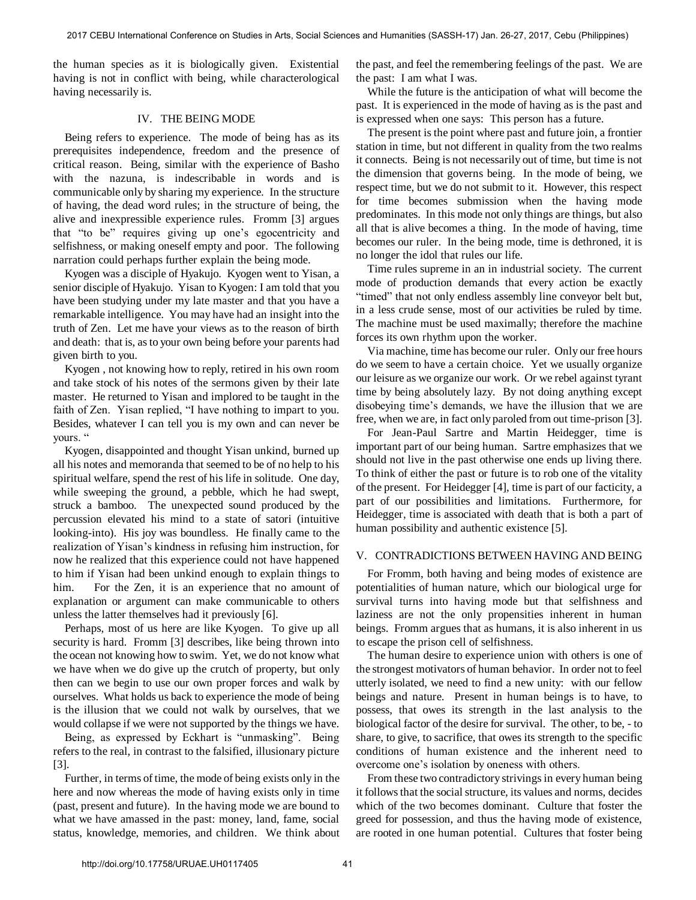the human species as it is biologically given. Existential having is not in conflict with being, while characterological having necessarily is.

### IV. THE BEING MODE

Being refers to experience. The mode of being has as its prerequisites independence, freedom and the presence of critical reason. Being, similar with the experience of Basho with the nazuna, is indescribable in words and is communicable only by sharing my experience. In the structure of having, the dead word rules; in the structure of being, the alive and inexpressible experience rules. Fromm [3] argues that "to be" requires giving up one's egocentricity and selfishness, or making oneself empty and poor. The following narration could perhaps further explain the being mode.

Kyogen was a disciple of Hyakujo. Kyogen went to Yisan, a senior disciple of Hyakujo. Yisan to Kyogen: I am told that you have been studying under my late master and that you have a remarkable intelligence. You may have had an insight into the truth of Zen. Let me have your views as to the reason of birth and death: that is, as to your own being before your parents had given birth to you.

Kyogen , not knowing how to reply, retired in his own room and take stock of his notes of the sermons given by their late master. He returned to Yisan and implored to be taught in the faith of Zen. Yisan replied, "I have nothing to impart to you. Besides, whatever I can tell you is my own and can never be yours."

Kyogen, disappointed and thought Yisan unkind, burned up all his notes and memoranda that seemed to be of no help to his spiritual welfare, spend the rest of his life in solitude. One day, while sweeping the ground, a pebble, which he had swept, struck a bamboo. The unexpected sound produced by the percussion elevated his mind to a state of satori (intuitive looking-into). His joy was boundless. He finally came to the realization of Yisan's kindness in refusing him instruction, for now he realized that this experience could not have happened to him if Yisan had been unkind enough to explain things to him. For the Zen, it is an experience that no amount of explanation or argument can make communicable to others unless the latter themselves had it previously [6].

Perhaps, most of us here are like Kyogen. To give up all security is hard. Fromm [3] describes, like being thrown into the ocean not knowing how to swim. Yet, we do not know what we have when we do give up the crutch of property, but only then can we begin to use our own proper forces and walk by ourselves. What holds us back to experience the mode of being is the illusion that we could not walk by ourselves, that we would collapse if we were not supported by the things we have.

Being, as expressed by Eckhart is "unmasking". Being refers to the real, in contrast to the falsified, illusionary picture [3].

Further, in terms of time, the mode of being exists only in the here and now whereas the mode of having exists only in time (past, present and future). In the having mode we are bound to what we have amassed in the past: money, land, fame, social status, knowledge, memories, and children. We think about the past, and feel the remembering feelings of the past. We are the past: I am what I was.

While the future is the anticipation of what will become the past. It is experienced in the mode of having as is the past and is expressed when one says: This person has a future.

The present is the point where past and future join, a frontier station in time, but not different in quality from the two realms it connects. Being is not necessarily out of time, but time is not the dimension that governs being. In the mode of being, we respect time, but we do not submit to it. However, this respect for time becomes submission when the having mode predominates. In this mode not only things are things, but also all that is alive becomes a thing. In the mode of having, time becomes our ruler. In the being mode, time is dethroned, it is no longer the idol that rules our life.

Time rules supreme in an in industrial society. The current mode of production demands that every action be exactly "timed" that not only endless assembly line conveyor belt but, in a less crude sense, most of our activities be ruled by time. The machine must be used maximally; therefore the machine forces its own rhythm upon the worker.

Via machine, time has become our ruler. Only our free hours do we seem to have a certain choice. Yet we usually organize our leisure as we organize our work. Or we rebel against tyrant time by being absolutely lazy. By not doing anything except disobeying time's demands, we have the illusion that we are free, when we are, in fact only paroled from out time-prison [3].

For Jean-Paul Sartre and Martin Heidegger, time is important part of our being human. Sartre emphasizes that we should not live in the past otherwise one ends up living there. To think of either the past or future is to rob one of the vitality of the present. For Heidegger [4], time is part of our facticity, a part of our possibilities and limitations. Furthermore, for Heidegger, time is associated with death that is both a part of human possibility and authentic existence [5].

## V. CONTRADICTIONS BETWEEN HAVING AND BEING

For Fromm, both having and being modes of existence are potentialities of human nature, which our biological urge for survival turns into having mode but that selfishness and laziness are not the only propensities inherent in human beings. Fromm argues that as humans, it is also inherent in us to escape the prison cell of selfishness.

The human desire to experience union with others is one of the strongest motivators of human behavior. In order not to feel utterly isolated, we need to find a new unity: with our fellow beings and nature. Present in human beings is to have, to possess, that owes its strength in the last analysis to the biological factor of the desire for survival. The other, to be, - to share, to give, to sacrifice, that owes its strength to the specific conditions of human existence and the inherent need to overcome one's isolation by oneness with others.

From these two contradictory strivings in every human being it follows that the social structure, its values and norms, decides which of the two becomes dominant. Culture that foster the greed for possession, and thus the having mode of existence, are rooted in one human potential. Cultures that foster being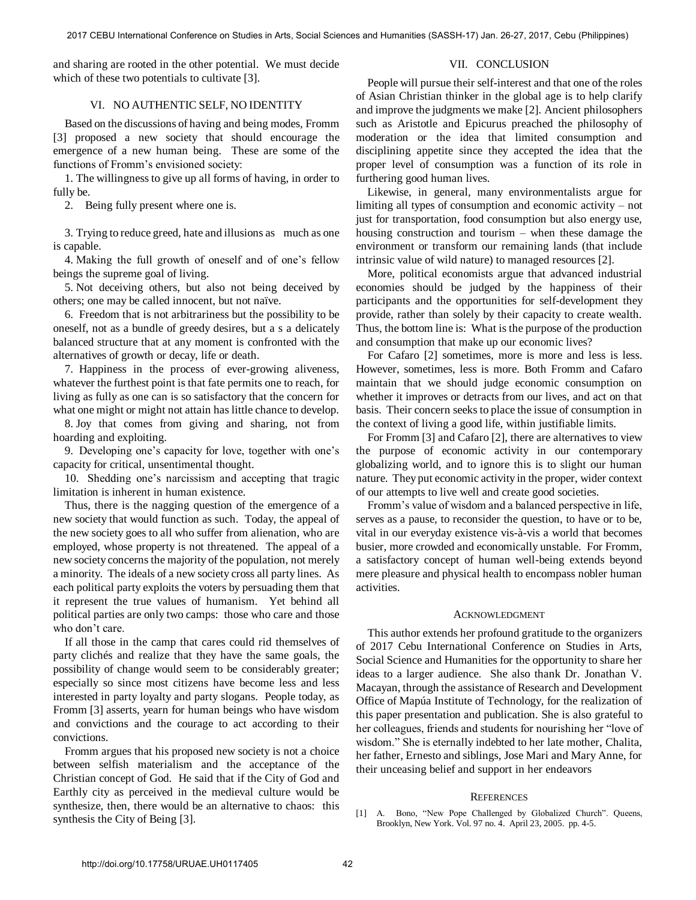and sharing are rooted in the other potential. We must decide which of these two potentials to cultivate [3].

# VII. CONCLUSION

## VI. NO AUTHENTIC SELF, NO IDENTITY

Based on the discussions of having and being modes, Fromm [3] proposed a new society that should encourage the emergence of a new human being. These are some of the functions of Fromm's envisioned society:

1. The willingness to give up all forms of having, in order to fully be.

2. Being fully present where one is.

3. Trying to reduce greed, hate and illusions as much as one is capable.

4. Making the full growth of oneself and of one's fellow beings the supreme goal of living.

5. Not deceiving others, but also not being deceived by others; one may be called innocent, but not naïve.

6. Freedom that is not arbitrariness but the possibility to be oneself, not as a bundle of greedy desires, but a s a delicately balanced structure that at any moment is confronted with the alternatives of growth or decay, life or death.

7. Happiness in the process of ever-growing aliveness, whatever the furthest point is that fate permits one to reach, for living as fully as one can is so satisfactory that the concern for what one might or might not attain has little chance to develop.

8. Joy that comes from giving and sharing, not from hoarding and exploiting.

9. Developing one's capacity for love, together with one's capacity for critical, unsentimental thought.

10. Shedding one's narcissism and accepting that tragic limitation is inherent in human existence.

Thus, there is the nagging question of the emergence of a new society that would function as such. Today, the appeal of the new society goes to all who suffer from alienation, who are employed, whose property is not threatened. The appeal of a new society concerns the majority of the population, not merely a minority. The ideals of a new society cross all party lines. As each political party exploits the voters by persuading them that it represent the true values of humanism. Yet behind all political parties are only two camps: those who care and those who don't care.

If all those in the camp that cares could rid themselves of party clichés and realize that they have the same goals, the possibility of change would seem to be considerably greater; especially so since most citizens have become less and less interested in party loyalty and party slogans. People today, as Fromm [3] asserts, yearn for human beings who have wisdom and convictions and the courage to act according to their convictions.

Fromm argues that his proposed new society is not a choice between selfish materialism and the acceptance of the Christian concept of God. He said that if the City of God and Earthly city as perceived in the medieval culture would be synthesize, then, there would be an alternative to chaos: this synthesis the City of Being [3].

People will pursue their self-interest and that one of the roles of Asian Christian thinker in the global age is to help clarify and improve the judgments we make [2]. Ancient philosophers such as Aristotle and Epicurus preached the philosophy of moderation or the idea that limited consumption and disciplining appetite since they accepted the idea that the proper level of consumption was a function of its role in furthering good human lives.

Likewise, in general, many environmentalists argue for limiting all types of consumption and economic activity – not just for transportation, food consumption but also energy use, housing construction and tourism – when these damage the environment or transform our remaining lands (that include intrinsic value of wild nature) to managed resources [2].

More, political economists argue that advanced industrial economies should be judged by the happiness of their participants and the opportunities for self-development they provide, rather than solely by their capacity to create wealth. Thus, the bottom line is: What is the purpose of the production and consumption that make up our economic lives?

For Cafaro [2] sometimes, more is more and less is less. However, sometimes, less is more. Both Fromm and Cafaro maintain that we should judge economic consumption on whether it improves or detracts from our lives, and act on that basis. Their concern seeks to place the issue of consumption in the context of living a good life, within justifiable limits.

For Fromm [3] and Cafaro [2], there are alternatives to view the purpose of economic activity in our contemporary globalizing world, and to ignore this is to slight our human nature. They put economic activity in the proper, wider context of our attempts to live well and create good societies.

Fromm's value of wisdom and a balanced perspective in life, serves as a pause, to reconsider the question, to have or to be, vital in our everyday existence vis-à-vis a world that becomes busier, more crowded and economically unstable. For Fromm, a satisfactory concept of human well-being extends beyond mere pleasure and physical health to encompass nobler human activities.

#### ACKNOWLEDGMENT

This author extends her profound gratitude to the organizers of 2017 Cebu International Conference on Studies in Arts, Social Science and Humanities for the opportunity to share her ideas to a larger audience. She also thank Dr. Jonathan V. Macayan, through the assistance of Research and Development Office of Mapúa Institute of Technology, for the realization of this paper presentation and publication. She is also grateful to her colleagues, friends and students for nourishing her "love of wisdom." She is eternally indebted to her late mother, Chalita, her father, Ernesto and siblings, Jose Mari and Mary Anne, for their unceasing belief and support in her endeavors

## **REFERENCES**

[1] A. Bono, "New Pope Challenged by Globalized Church". Queens, Brooklyn, New York. Vol. 97 no. 4. April 23, 2005. pp. 4-5.